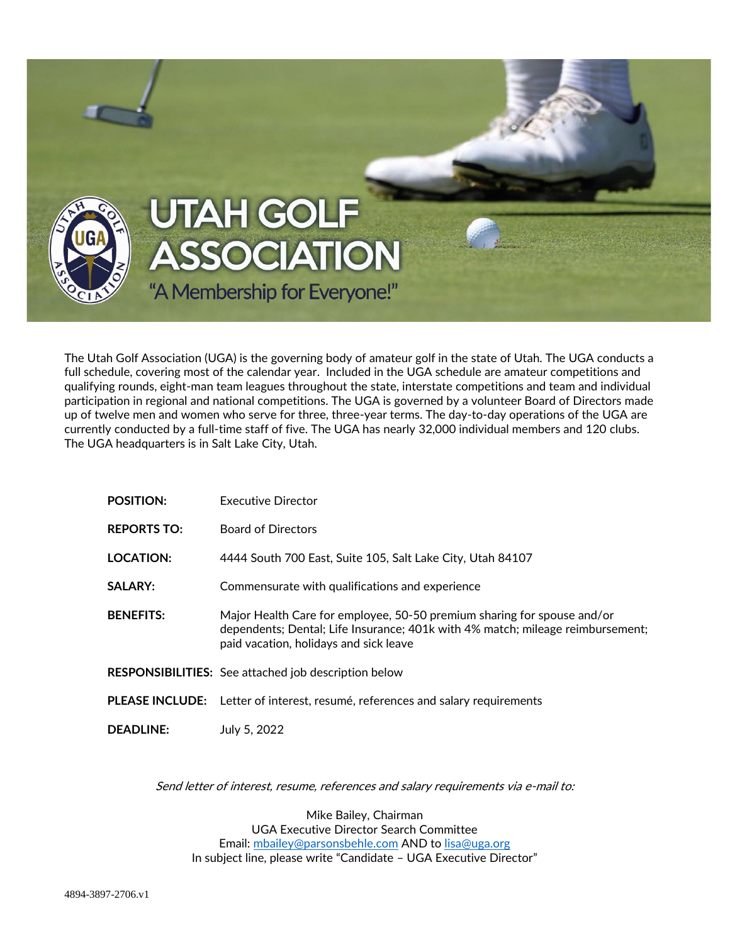

The Utah Golf Association (UGA) is the governing body of amateur golf in the state of Utah. The UGA conducts a full schedule, covering most of the calendar year. Included in the UGA schedule are amateur competitions and qualifying rounds, eight-man team leagues throughout the state, interstate competitions and team and individual participation in regional and national competitions. The UGA is governed by a volunteer Board of Directors made up of twelve men and women who serve for three, three-year terms. The day-to-day operations of the UGA are currently conducted by a full-time staff of five. The UGA has nearly 32,000 individual members and 120 clubs. The UGA headquarters is in Salt Lake City, Utah.

| <b>POSITION:</b>   | Executive Director                                                                                                                                                                                  |
|--------------------|-----------------------------------------------------------------------------------------------------------------------------------------------------------------------------------------------------|
| <b>REPORTS TO:</b> | <b>Board of Directors</b>                                                                                                                                                                           |
| <b>LOCATION:</b>   | 4444 South 700 East, Suite 105, Salt Lake City, Utah 84107                                                                                                                                          |
| <b>SALARY:</b>     | Commensurate with qualifications and experience                                                                                                                                                     |
| <b>BENEFITS:</b>   | Major Health Care for employee, 50-50 premium sharing for spouse and/or<br>dependents; Dental; Life Insurance; 401k with 4% match; mileage reimbursement;<br>paid vacation, holidays and sick leave |
|                    | <b>RESPONSIBILITIES:</b> See attached job description below                                                                                                                                         |
|                    | PLEASE INCLUDE: Letter of interest, resumé, references and salary requirements                                                                                                                      |
| <b>DEADLINE:</b>   | July 5, 2022                                                                                                                                                                                        |

Send letter of interest, resume, references and salary requirements via e-mail to:

Mike Bailey, Chairman UGA Executive Director Search Committee Email: [mbailey@parsonsbehle.com](mailto:mbailey@parsonsbehle.com) AND to [lisa@uga.org](mailto:lisa@uga.org) In subject line, please write "Candidate – UGA Executive Director"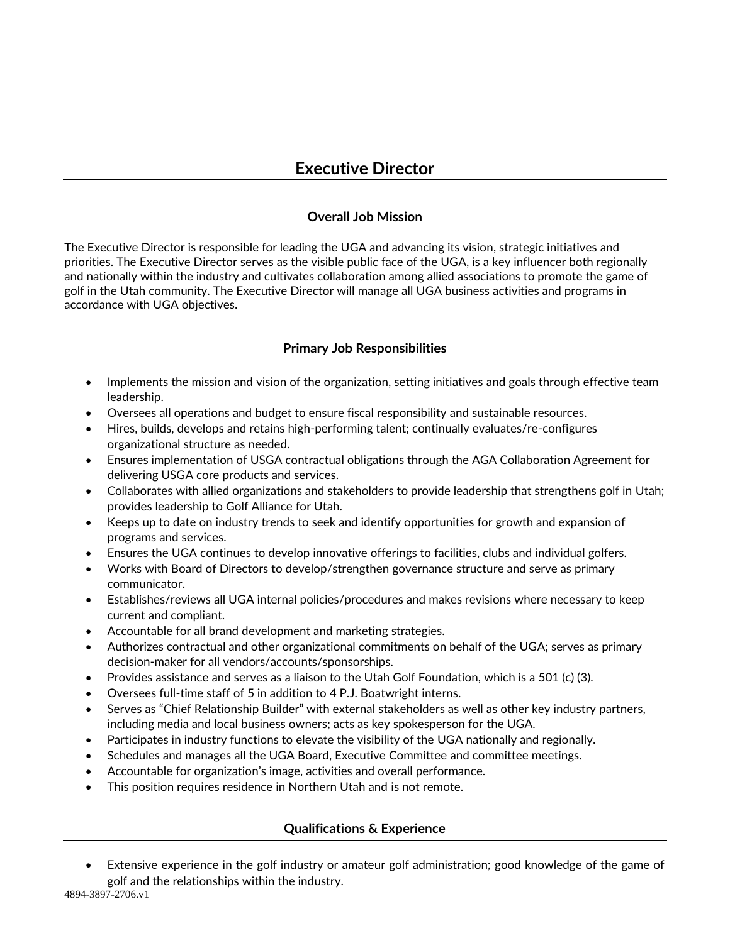## **Executive Director**

## **Overall Job Mission**

The Executive Director is responsible for leading the UGA and advancing its vision, strategic initiatives and priorities. The Executive Director serves as the visible public face of the UGA, is a key influencer both regionally and nationally within the industry and cultivates collaboration among allied associations to promote the game of golf in the Utah community. The Executive Director will manage all UGA business activities and programs in accordance with UGA objectives.

## **Primary Job Responsibilities**

- Implements the mission and vision of the organization, setting initiatives and goals through effective team leadership.
- Oversees all operations and budget to ensure fiscal responsibility and sustainable resources.
- Hires, builds, develops and retains high-performing talent; continually evaluates/re-configures organizational structure as needed.
- Ensures implementation of USGA contractual obligations through the AGA Collaboration Agreement for delivering USGA core products and services.
- Collaborates with allied organizations and stakeholders to provide leadership that strengthens golf in Utah; provides leadership to Golf Alliance for Utah.
- Keeps up to date on industry trends to seek and identify opportunities for growth and expansion of programs and services.
- Ensures the UGA continues to develop innovative offerings to facilities, clubs and individual golfers.
- Works with Board of Directors to develop/strengthen governance structure and serve as primary communicator.
- Establishes/reviews all UGA internal policies/procedures and makes revisions where necessary to keep current and compliant.
- Accountable for all brand development and marketing strategies.
- Authorizes contractual and other organizational commitments on behalf of the UGA; serves as primary decision-maker for all vendors/accounts/sponsorships.
- Provides assistance and serves as a liaison to the Utah Golf Foundation, which is a 501 (c) (3).
- Oversees full-time staff of 5 in addition to 4 P.J. Boatwright interns.
- Serves as "Chief Relationship Builder" with external stakeholders as well as other key industry partners, including media and local business owners; acts as key spokesperson for the UGA.
- Participates in industry functions to elevate the visibility of the UGA nationally and regionally.
- Schedules and manages all the UGA Board, Executive Committee and committee meetings.
- Accountable for organization's image, activities and overall performance.
- This position requires residence in Northern Utah and is not remote.

## **Qualifications & Experience**

• Extensive experience in the golf industry or amateur golf administration; good knowledge of the game of golf and the relationships within the industry.